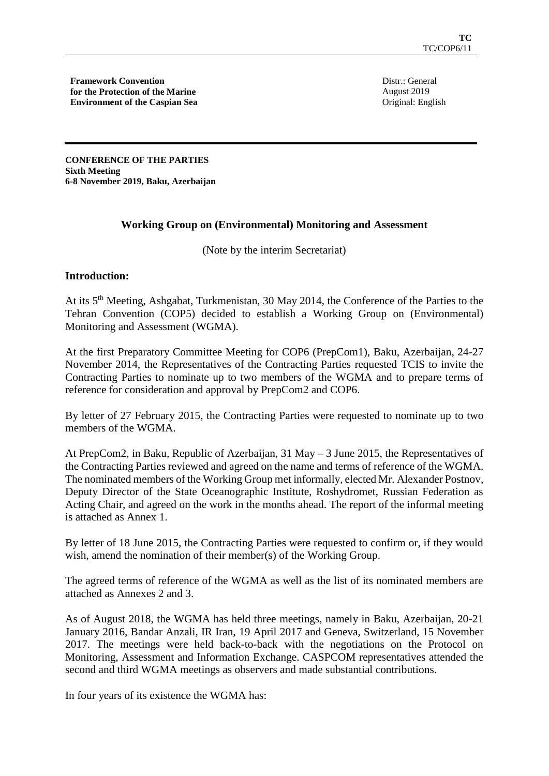**Framework Convention for the Protection of the Marine Environment of the Caspian Sea**

Distr.: General August 2019 Original: English

**CONFERENCE OF THE PARTIES Sixth Meeting 6-8 November 2019, Baku, Azerbaijan** 

# **Working Group on (Environmental) Monitoring and Assessment**

(Note by the interim Secretariat)

## **Introduction:**

At its 5th Meeting, Ashgabat, Turkmenistan, 30 May 2014, the Conference of the Parties to the Tehran Convention (COP5) decided to establish a Working Group on (Environmental) Monitoring and Assessment (WGMA).

At the first Preparatory Committee Meeting for COP6 (PrepCom1), Baku, Azerbaijan, 24-27 November 2014, the Representatives of the Contracting Parties requested TCIS to invite the Contracting Parties to nominate up to two members of the WGMA and to prepare terms of reference for consideration and approval by PrepCom2 and COP6.

By letter of 27 February 2015, the Contracting Parties were requested to nominate up to two members of the WGMA.

At PrepCom2, in Baku, Republic of Azerbaijan, 31 May – 3 June 2015, the Representatives of the Contracting Parties reviewed and agreed on the name and terms of reference of the WGMA. The nominated members of the Working Group met informally, elected Mr. Alexander Postnov, Deputy Director of the State Oceanographic Institute, Roshydromet, Russian Federation as Acting Chair, and agreed on the work in the months ahead. The report of the informal meeting is attached as Annex 1.

By letter of 18 June 2015, the Contracting Parties were requested to confirm or, if they would wish, amend the nomination of their member(s) of the Working Group.

The agreed terms of reference of the WGMA as well as the list of its nominated members are attached as Annexes 2 and 3.

As of August 2018, the WGMA has held three meetings, namely in Baku, Azerbaijan, 20-21 January 2016, Bandar Anzali, IR Iran, 19 April 2017 and Geneva, Switzerland, 15 November 2017. The meetings were held back-to-back with the negotiations on the Protocol on Monitoring, Assessment and Information Exchange. CASPCOM representatives attended the second and third WGMA meetings as observers and made substantial contributions.

In four years of its existence the WGMA has: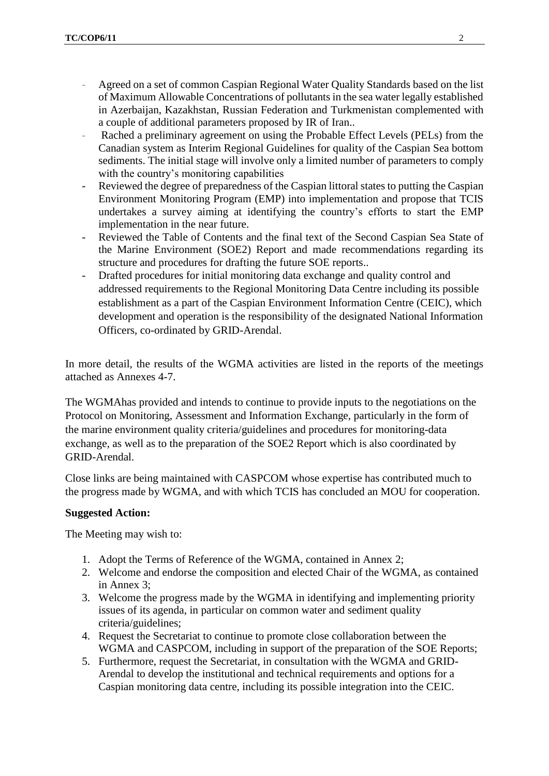- Agreed on a set of common Caspian Regional Water Quality Standards based on the list of Maximum Allowable Concentrations of pollutants in the sea water legally established in Azerbaijan, Kazakhstan, Russian Federation and Turkmenistan complemented with a couple of additional parameters proposed by IR of Iran..
- Rached a preliminary agreement on using the Probable Effect Levels (PELs) from the Canadian system as Interim Regional Guidelines for quality of the Caspian Sea bottom sediments. The initial stage will involve only a limited number of parameters to comply with the country's monitoring capabilities
- Reviewed the degree of preparedness of the Caspian littoral states to putting the Caspian Environment Monitoring Program (EMP) into implementation and propose that TCIS undertakes a survey aiming at identifying the country's efforts to start the EMP implementation in the near future.
- Reviewed the Table of Contents and the final text of the Second Caspian Sea State of the Marine Environment (SOE2) Report and made recommendations regarding its structure and procedures for drafting the future SOE reports..
- Drafted procedures for initial monitoring data exchange and quality control and addressed requirements to the Regional Monitoring Data Centre including its possible establishment as a part of the Caspian Environment Information Centre (CEIC), which development and operation is the responsibility of the designated National Information Officers, co-ordinated by GRID-Arendal.

In more detail, the results of the WGMA activities are listed in the reports of the meetings attached as Annexes 4-7.

The WGMAhas provided and intends to continue to provide inputs to the negotiations on the Protocol on Monitoring, Assessment and Information Exchange, particularly in the form of the marine environment quality criteria/guidelines and procedures for monitoring-data exchange, as well as to the preparation of the SOE2 Report which is also coordinated by GRID-Arendal.

Close links are being maintained with CASPCOM whose expertise has contributed much to the progress made by WGMA, and with which TCIS has concluded an MOU for cooperation.

## **Suggested Action:**

The Meeting may wish to:

- 1. Adopt the Terms of Reference of the WGMA, contained in Annex 2;
- 2. Welcome and endorse the composition and elected Chair of the WGMA, as contained in Annex 3;
- 3. Welcome the progress made by the WGMA in identifying and implementing priority issues of its agenda, in particular on common water and sediment quality criteria/guidelines;
- 4. Request the Secretariat to continue to promote close collaboration between the WGMA and CASPCOM, including in support of the preparation of the SOE Reports;
- 5. Furthermore, request the Secretariat, in consultation with the WGMA and GRID-Arendal to develop the institutional and technical requirements and options for a Caspian monitoring data centre, including its possible integration into the CEIC.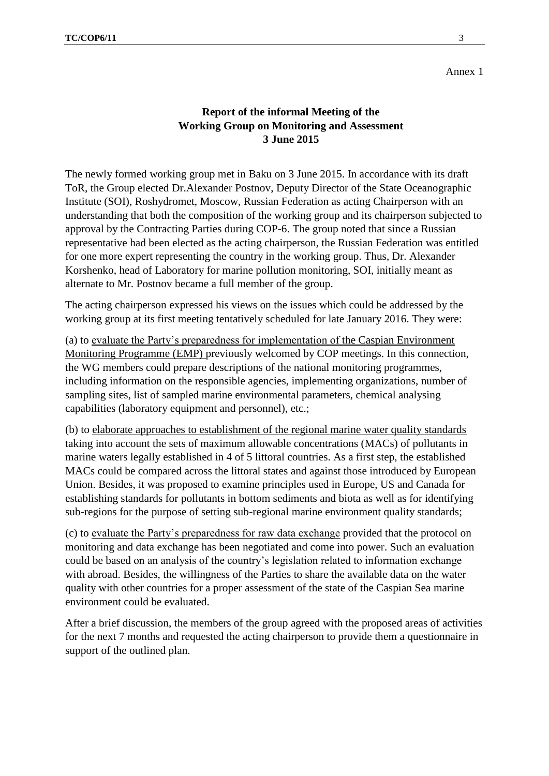# **Report of the informal Meeting of the Working Group on Monitoring and Assessment 3 June 2015**

The newly formed working group met in Baku on 3 June 2015. In accordance with its draft ToR, the Group elected Dr.Alexander Postnov, Deputy Director of the State Oceanographic Institute (SOI), Roshydromet, Moscow, Russian Federation as acting Chairperson with an understanding that both the composition of the working group and its chairperson subjected to approval by the Contracting Parties during COP-6. The group noted that since a Russian representative had been elected as the acting chairperson, the Russian Federation was entitled for one more expert representing the country in the working group. Thus, Dr. Alexander Korshenko, head of Laboratory for marine pollution monitoring, SOI, initially meant as alternate to Mr. Postnov became a full member of the group.

The acting chairperson expressed his views on the issues which could be addressed by the working group at its first meeting tentatively scheduled for late January 2016. They were:

(a) to evaluate the Party's preparedness for implementation of the Caspian Environment Monitoring Programme (EMP) previously welcomed by COP meetings. In this connection, the WG members could prepare descriptions of the national monitoring programmes, including information on the responsible agencies, implementing organizations, number of sampling sites, list of sampled marine environmental parameters, chemical analysing capabilities (laboratory equipment and personnel), etc.;

(b) to elaborate approaches to establishment of the regional marine water quality standards taking into account the sets of maximum allowable concentrations (MACs) of pollutants in marine waters legally established in 4 of 5 littoral countries. As a first step, the established MACs could be compared across the littoral states and against those introduced by European Union. Besides, it was proposed to examine principles used in Europe, US and Canada for establishing standards for pollutants in bottom sediments and biota as well as for identifying sub-regions for the purpose of setting sub-regional marine environment quality standards;

(c) to evaluate the Party's preparedness for raw data exchange provided that the protocol on monitoring and data exchange has been negotiated and come into power. Such an evaluation could be based on an analysis of the country's legislation related to information exchange with abroad. Besides, the willingness of the Parties to share the available data on the water quality with other countries for a proper assessment of the state of the Caspian Sea marine environment could be evaluated.

After a brief discussion, the members of the group agreed with the proposed areas of activities for the next 7 months and requested the acting chairperson to provide them a questionnaire in support of the outlined plan.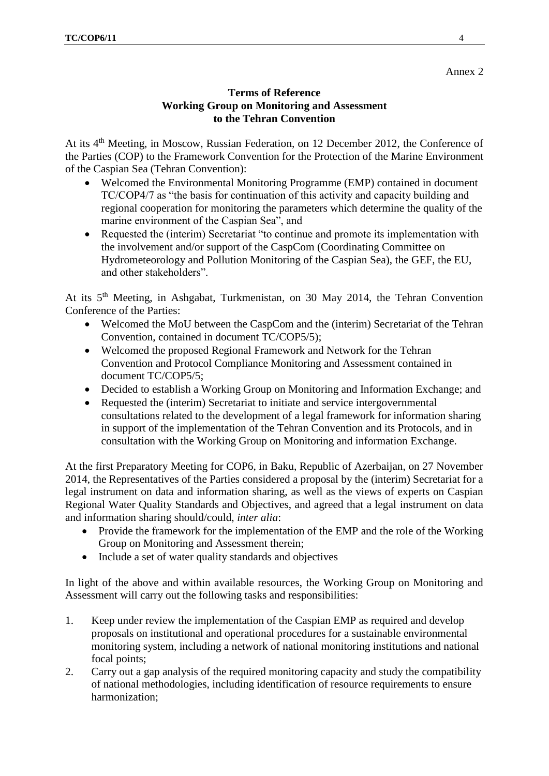# **Terms of Reference Working Group on Monitoring and Assessment to the Tehran Convention**

At its 4<sup>th</sup> Meeting, in Moscow, Russian Federation, on 12 December 2012, the Conference of the Parties (COP) to the Framework Convention for the Protection of the Marine Environment of the Caspian Sea (Tehran Convention):

- Welcomed the Environmental Monitoring Programme (EMP) contained in document TC/COP4/7 as "the basis for continuation of this activity and capacity building and regional cooperation for monitoring the parameters which determine the quality of the marine environment of the Caspian Sea", and
- Requested the (interim) Secretariat "to continue and promote its implementation with the involvement and/or support of the CaspCom (Coordinating Committee on Hydrometeorology and Pollution Monitoring of the Caspian Sea), the GEF, the EU, and other stakeholders".

At its 5th Meeting, in Ashgabat, Turkmenistan, on 30 May 2014, the Tehran Convention Conference of the Parties:

- Welcomed the MoU between the CaspCom and the (interim) Secretariat of the Tehran Convention, contained in document TC/COP5/5);
- Welcomed the proposed Regional Framework and Network for the Tehran Convention and Protocol Compliance Monitoring and Assessment contained in document TC/COP5/5;
- Decided to establish a Working Group on Monitoring and Information Exchange; and
- Requested the (interim) Secretariat to initiate and service intergovernmental consultations related to the development of a legal framework for information sharing in support of the implementation of the Tehran Convention and its Protocols, and in consultation with the Working Group on Monitoring and information Exchange.

At the first Preparatory Meeting for COP6, in Baku, Republic of Azerbaijan, on 27 November 2014, the Representatives of the Parties considered a proposal by the (interim) Secretariat for a legal instrument on data and information sharing, as well as the views of experts on Caspian Regional Water Quality Standards and Objectives, and agreed that a legal instrument on data and information sharing should/could, *inter alia*:

- Provide the framework for the implementation of the EMP and the role of the Working Group on Monitoring and Assessment therein;
- Include a set of water quality standards and objectives

In light of the above and within available resources, the Working Group on Monitoring and Assessment will carry out the following tasks and responsibilities:

- 1. Keep under review the implementation of the Caspian EMP as required and develop proposals on institutional and operational procedures for a sustainable environmental monitoring system, including a network of national monitoring institutions and national focal points;
- 2. Carry out a gap analysis of the required monitoring capacity and study the compatibility of national methodologies, including identification of resource requirements to ensure harmonization;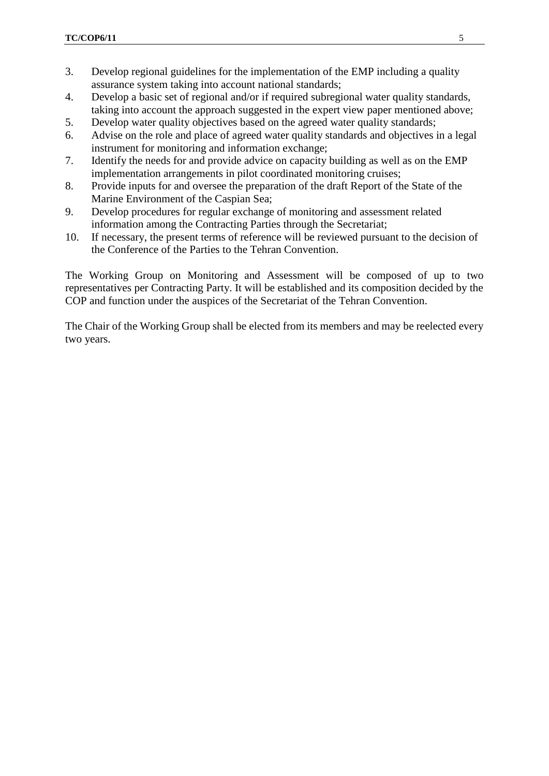- 3. Develop regional guidelines for the implementation of the EMP including a quality assurance system taking into account national standards;
- 4. Develop a basic set of regional and/or if required subregional water quality standards, taking into account the approach suggested in the expert view paper mentioned above;
- 5. Develop water quality objectives based on the agreed water quality standards;
- 6. Advise on the role and place of agreed water quality standards and objectives in a legal instrument for monitoring and information exchange;
- 7. Identify the needs for and provide advice on capacity building as well as on the EMP implementation arrangements in pilot coordinated monitoring cruises;
- 8. Provide inputs for and oversee the preparation of the draft Report of the State of the Marine Environment of the Caspian Sea;
- 9. Develop procedures for regular exchange of monitoring and assessment related information among the Contracting Parties through the Secretariat;
- 10. If necessary, the present terms of reference will be reviewed pursuant to the decision of the Conference of the Parties to the Tehran Convention.

The Working Group on Monitoring and Assessment will be composed of up to two representatives per Contracting Party. It will be established and its composition decided by the COP and function under the auspices of the Secretariat of the Tehran Convention.

The Chair of the Working Group shall be elected from its members and may be reelected every two years.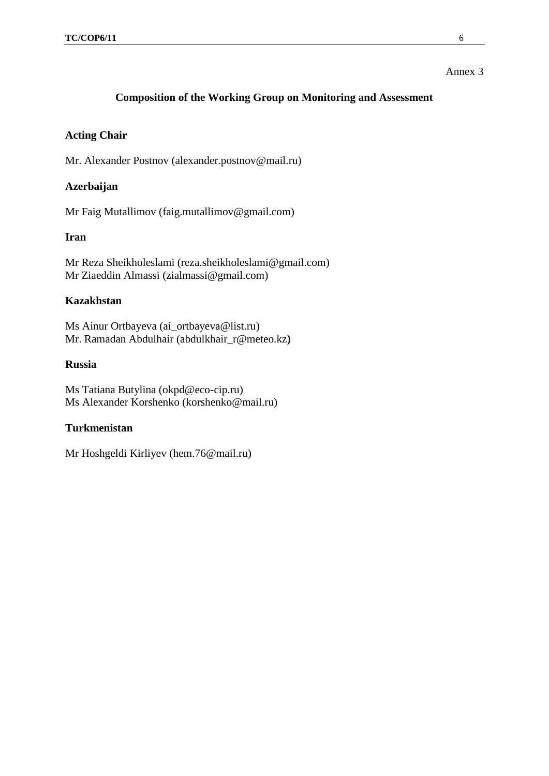# **Composition of the Working Group on Monitoring and Assessment**

## **Acting Chair**

Mr. Alexander Postnov (alexander.postnov@mail.ru)

# **Azerbaijan**

Mr Faig Mutallimov (faig.mutallimov@gmail.com)

# **Iran**

Mr Reza Sheikholeslami (reza.sheikholeslami@gmail.com) Mr Ziaeddin Almassi (zialmassi@gmail.com)

## **Kazakhstan**

Ms Ainur Ortbayeva [\(ai\\_ortbayeva@list.ru\)](mailto:ai_ortbayeva@list.ru) Mr. Ramadan Abdulhair [\(abdulkhair\\_r@meteo.kz](mailto:abdulkhair_r@meteo.kz)**)**

## **Russia**

Ms Tatiana Butylina (okpd@eco-cip.ru) Ms Alexander Korshenko (korshenko@mail.ru)

## **Turkmenistan**

Mr Hoshgeldi Kirliyev (hem.76@mail.ru)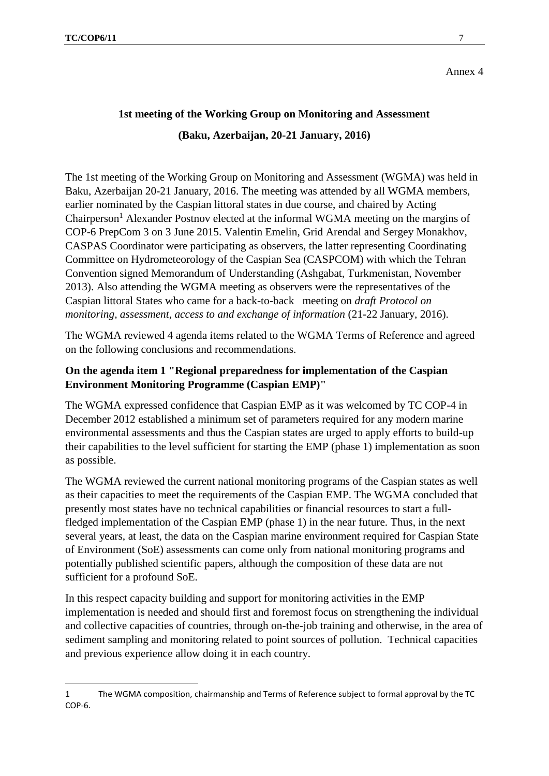**.** 

Annex 4

# **1st meeting of the Working Group on Monitoring and Assessment (Baku, Azerbaijan, 20-21 January, 2016)**

The 1st meeting of the Working Group on Monitoring and Assessment (WGMA) was held in Baku, Azerbaijan 20-21 January, 2016. The meeting was attended by all WGMA members, earlier nominated by the Caspian littoral states in due course, and chaired by Acting Chairperson<sup>1</sup> Alexander Postnov elected at the informal WGMA meeting on the margins of COP-6 PrepCom 3 on 3 June 2015. Valentin Emelin, Grid Arendal and Sergey Monakhov, CASPAS Coordinator were participating as observers, the latter representing Coordinating Committee on Hydrometeorology of the Caspian Sea (CASPCOM) with which the Tehran Convention signed Memorandum of Understanding (Ashgabat, Turkmenistan, November 2013). Also attending the WGMA meeting as observers were the representatives of the Caspian littoral States who came for a back-to-back meeting on *draft Protocol on monitoring, assessment, access to and exchange of information (21-22 January, 2016).* 

The WGMA reviewed 4 agenda items related to the WGMA Terms of Reference and agreed on the following conclusions and recommendations.

# **On the agenda item 1 "Regional preparedness for implementation of the Caspian Environment Monitoring Programme (Caspian EMP)"**

The WGMA expressed confidence that Caspian EMP as it was welcomed by TC COP-4 in December 2012 established a minimum set of parameters required for any modern marine environmental assessments and thus the Caspian states are urged to apply efforts to build-up their capabilities to the level sufficient for starting the EMP (phase 1) implementation as soon as possible.

The WGMA reviewed the current national monitoring programs of the Caspian states as well as their capacities to meet the requirements of the Caspian EMP. The WGMA concluded that presently most states have no technical capabilities or financial resources to start a fullfledged implementation of the Caspian EMP (phase 1) in the near future. Thus, in the next several years, at least, the data on the Caspian marine environment required for Caspian State of Environment (SoE) assessments can come only from national monitoring programs and potentially published scientific papers, although the composition of these data are not sufficient for a profound SoE.

In this respect capacity building and support for monitoring activities in the EMP implementation is needed and should first and foremost focus on strengthening the individual and collective capacities of countries, through on-the-job training and otherwise, in the area of sediment sampling and monitoring related to point sources of pollution. Technical capacities and previous experience allow doing it in each country.

<sup>1</sup> The WGMA composition, chairmanship and Terms of Reference subject to formal approval by the TC COP-6.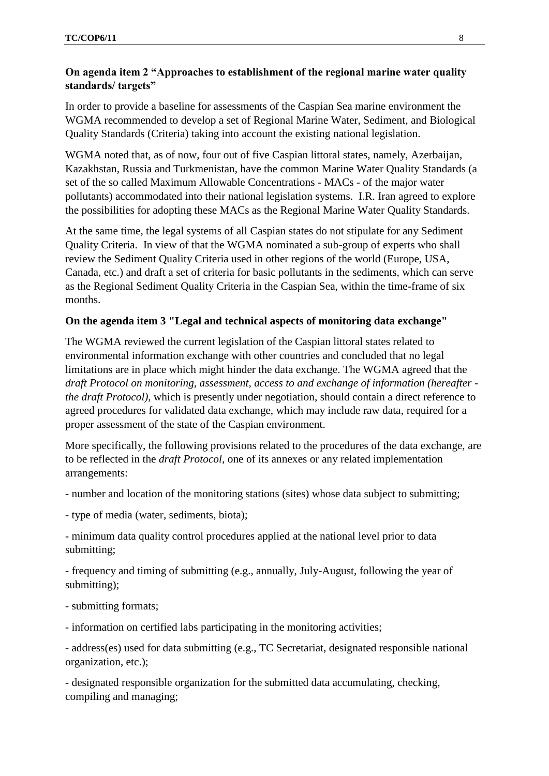# **On agenda item 2 "Approaches to establishment of the regional marine water quality standards/ targets"**

In order to provide a baseline for assessments of the Caspian Sea marine environment the WGMA recommended to develop a set of Regional Marine Water, Sediment, and Biological Quality Standards (Criteria) taking into account the existing national legislation.

WGMA noted that, as of now, four out of five Caspian littoral states, namely, Azerbaijan, Kazakhstan, Russia and Turkmenistan, have the common Marine Water Quality Standards (a set of the so called Maximum Allowable Concentrations - MACs - of the major water pollutants) accommodated into their national legislation systems. I.R. Iran agreed to explore the possibilities for adopting these MACs as the Regional Marine Water Quality Standards.

At the same time, the legal systems of all Caspian states do not stipulate for any Sediment Quality Criteria. In view of that the WGMA nominated a sub-group of experts who shall review the Sediment Quality Criteria used in other regions of the world (Europe, USA, Canada, etc.) and draft a set of criteria for basic pollutants in the sediments, which can serve as the Regional Sediment Quality Criteria in the Caspian Sea, within the time-frame of six months.

## **On the agenda item 3 "Legal and technical aspects of monitoring data exchange"**

The WGMA reviewed the current legislation of the Caspian littoral states related to environmental information exchange with other countries and concluded that no legal limitations are in place which might hinder the data exchange. The WGMA agreed that the *draft Protocol on monitoring, assessment, access to and exchange of information (hereafter the draft Protocol)*, which is presently under negotiation, should contain a direct reference to agreed procedures for validated data exchange, which may include raw data, required for a proper assessment of the state of the Caspian environment.

More specifically, the following provisions related to the procedures of the data exchange, are to be reflected in the *draft Protocol,* one of its annexes or any related implementation arrangements:

- number and location of the monitoring stations (sites) whose data subject to submitting;
- type of media (water, sediments, biota);

- minimum data quality control procedures applied at the national level prior to data submitting;

- frequency and timing of submitting (e.g., annually, July-August, following the year of submitting);

- submitting formats;

- information on certified labs participating in the monitoring activities;

- address(es) used for data submitting (e.g., TC Secretariat, designated responsible national organization, etc.);

- designated responsible organization for the submitted data accumulating, checking, compiling and managing;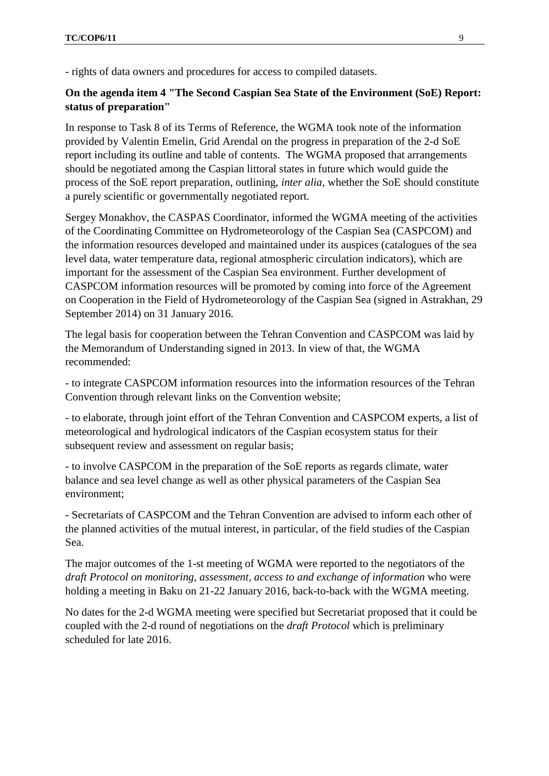- rights of data owners and procedures for access to compiled datasets.

# **On the agenda item 4 "The Second Caspian Sea State of the Environment (SoE) Report: status of preparation"**

In response to Task 8 of its Terms of Reference, the WGMA took note of the information provided by Valentin Emelin, Grid Arendal on the progress in preparation of the 2-d SoE report including its outline and table of contents. The WGMA proposed that arrangements should be negotiated among the Caspian littoral states in future which would guide the process of the SoE report preparation, outlining, *inter alia*, whether the SoE should constitute a purely scientific or governmentally negotiated report.

Sergey Monakhov, the CASPAS Coordinator, informed the WGMA meeting of the activities of the Coordinating Committee on Hydrometeorology of the Caspian Sea (CASPCOM) and the information resources developed and maintained under its auspices (catalogues of the sea level data, water temperature data, regional atmospheric circulation indicators), which are important for the assessment of the Caspian Sea environment. Further development of CASPCOM information resources will be promoted by coming into force of the Agreement on Cooperation in the Field of Hydrometeorology of the Caspian Sea (signed in Astrakhan, 29 September 2014) on 31 January 2016.

The legal basis for cooperation between the Tehran Convention and CASPCOM was laid by the Memorandum of Understanding signed in 2013. In view of that, the WGMA recommended:

- to integrate CASPCOM information resources into the information resources of the Tehran Convention through relevant links on the Convention website;

- to elaborate, through joint effort of the Tehran Convention and CASPCOM experts, a list of meteorological and hydrological indicators of the Caspian ecosystem status for their subsequent review and assessment on regular basis;

- to involve CASPCOM in the preparation of the SoE reports as regards climate, water balance and sea level change as well as other physical parameters of the Caspian Sea environment;

- Secretariats of CASPCOM and the Tehran Convention are advised to inform each other of the planned activities of the mutual interest, in particular, of the field studies of the Caspian Sea.

The major outcomes of the 1-st meeting of WGMA were reported to the negotiators of the *draft Protocol on monitoring, assessment, access to and exchange of information* who were holding a meeting in Baku on 21-22 January 2016, back-to-back with the WGMA meeting.

No dates for the 2-d WGMA meeting were specified but Secretariat proposed that it could be coupled with the 2-d round of negotiations on the *draft Protocol* which is preliminary scheduled for late 2016.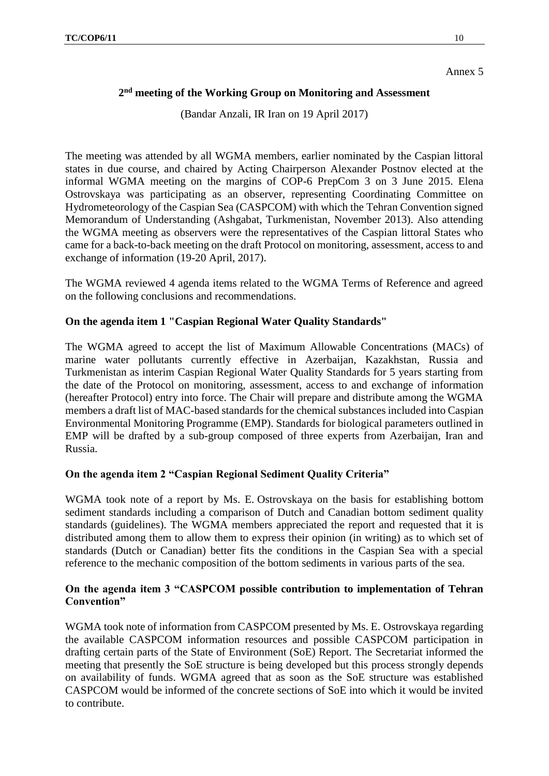# **2 nd meeting of the Working Group on Monitoring and Assessment**

(Bandar Anzali, IR Iran on 19 April 2017)

The meeting was attended by all WGMA members, earlier nominated by the Caspian littoral states in due course, and chaired by Acting Chairperson Alexander Postnov elected at the informal WGMA meeting on the margins of COP-6 PrepCom 3 on 3 June 2015. Elena Ostrovskaya was participating as an observer, representing Coordinating Committee on Hydrometeorology of the Caspian Sea (CASPCOM) with which the Tehran Convention signed Memorandum of Understanding (Ashgabat, Turkmenistan, November 2013). Also attending the WGMA meeting as observers were the representatives of the Caspian littoral States who came for a back-to-back meeting on the draft Protocol on monitoring, assessment, access to and exchange of information (19-20 April, 2017).

The WGMA reviewed 4 agenda items related to the WGMA Terms of Reference and agreed on the following conclusions and recommendations.

#### **On the agenda item 1 "Caspian Regional Water Quality Standards"**

The WGMA agreed to accept the list of Maximum Allowable Concentrations (MACs) of marine water pollutants currently effective in Azerbaijan, Kazakhstan, Russia and Turkmenistan as interim Caspian Regional Water Quality Standards for 5 years starting from the date of the Protocol on monitoring, assessment, access to and exchange of information (hereafter Protocol) entry into force. The Chair will prepare and distribute among the WGMA members a draft list of MAC-based standards for the chemical substances included into Caspian Environmental Monitoring Programme (EMP). Standards for biological parameters outlined in EMP will be drafted by a sub-group composed of three experts from Azerbaijan, Iran and Russia.

# **On the agenda item 2 "Caspian Regional Sediment Quality Criteria"**

WGMA took note of a report by Ms. E. Ostrovskaya on the basis for establishing bottom sediment standards including a comparison of Dutch and Canadian bottom sediment quality standards (guidelines). The WGMA members appreciated the report and requested that it is distributed among them to allow them to express their opinion (in writing) as to which set of standards (Dutch or Canadian) better fits the conditions in the Caspian Sea with a special reference to the mechanic composition of the bottom sediments in various parts of the sea.

# **On the agenda item 3 "CASPCOM possible contribution to implementation of Tehran Convention"**

WGMA took note of information from CASPCOM presented by Ms. E. Ostrovskaya regarding the available CASPCOM information resources and possible CASPCOM participation in drafting certain parts of the State of Environment (SoE) Report. The Secretariat informed the meeting that presently the SoE structure is being developed but this process strongly depends on availability of funds. WGMA agreed that as soon as the SoE structure was established CASPCOM would be informed of the concrete sections of SoE into which it would be invited to contribute.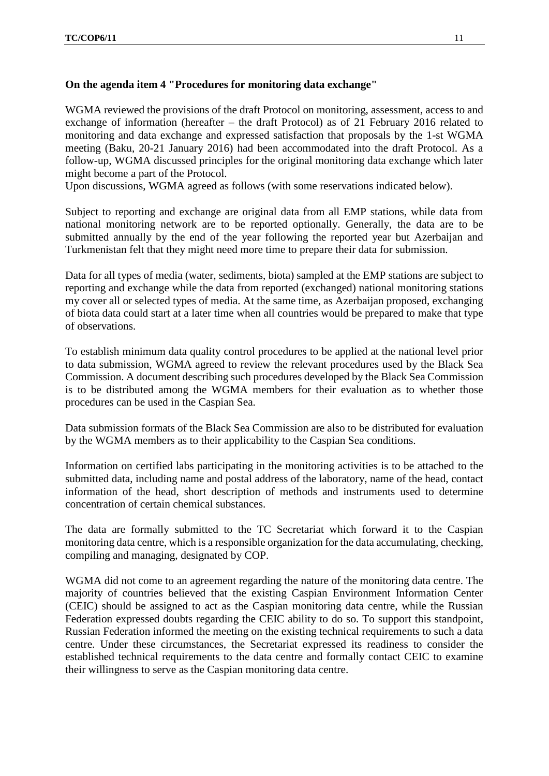# **On the agenda item 4 "Procedures for monitoring data exchange"**

WGMA reviewed the provisions of the draft Protocol on monitoring, assessment, access to and exchange of information (hereafter – the draft Protocol) as of 21 February 2016 related to monitoring and data exchange and expressed satisfaction that proposals by the 1-st WGMA meeting (Baku, 20-21 January 2016) had been accommodated into the draft Protocol. As a follow-up, WGMA discussed principles for the original monitoring data exchange which later might become a part of the Protocol.

Upon discussions, WGMA agreed as follows (with some reservations indicated below).

Subject to reporting and exchange are original data from all EMP stations, while data from national monitoring network are to be reported optionally. Generally, the data are to be submitted annually by the end of the year following the reported year but Azerbaijan and Turkmenistan felt that they might need more time to prepare their data for submission.

Data for all types of media (water, sediments, biota) sampled at the EMP stations are subject to reporting and exchange while the data from reported (exchanged) national monitoring stations my cover all or selected types of media. At the same time, as Azerbaijan proposed, exchanging of biota data could start at a later time when all countries would be prepared to make that type of observations.

To establish minimum data quality control procedures to be applied at the national level prior to data submission, WGMA agreed to review the relevant procedures used by the Black Sea Commission. A document describing such procedures developed by the Black Sea Commission is to be distributed among the WGMA members for their evaluation as to whether those procedures can be used in the Caspian Sea.

Data submission formats of the Black Sea Commission are also to be distributed for evaluation by the WGMA members as to their applicability to the Caspian Sea conditions.

Information on certified labs participating in the monitoring activities is to be attached to the submitted data, including name and postal address of the laboratory, name of the head, contact information of the head, short description of methods and instruments used to determine concentration of certain chemical substances.

The data are formally submitted to the TC Secretariat which forward it to the Caspian monitoring data centre, which is a responsible organization for the data accumulating, checking, compiling and managing, designated by COP.

WGMA did not come to an agreement regarding the nature of the monitoring data centre. The majority of countries believed that the existing Caspian Environment Information Center (CEIC) should be assigned to act as the Caspian monitoring data centre, while the Russian Federation expressed doubts regarding the CEIC ability to do so. To support this standpoint, Russian Federation informed the meeting on the existing technical requirements to such a data centre. Under these circumstances, the Secretariat expressed its readiness to consider the established technical requirements to the data centre and formally contact CEIC to examine their willingness to serve as the Caspian monitoring data centre.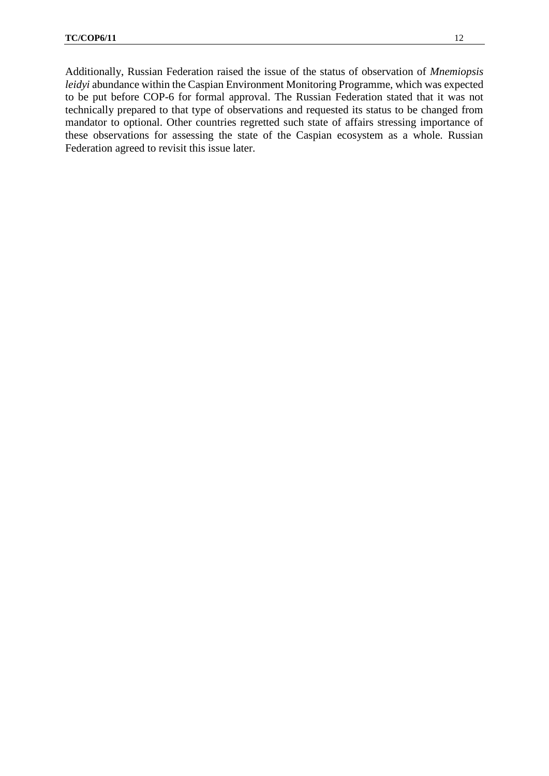Additionally, Russian Federation raised the issue of the status of observation of *Mnemiopsis leidyi* abundance within the Caspian Environment Monitoring Programme, which was expected to be put before COP-6 for formal approval. The Russian Federation stated that it was not technically prepared to that type of observations and requested its status to be changed from mandator to optional. Other countries regretted such state of affairs stressing importance of these observations for assessing the state of the Caspian ecosystem as a whole. Russian Federation agreed to revisit this issue later.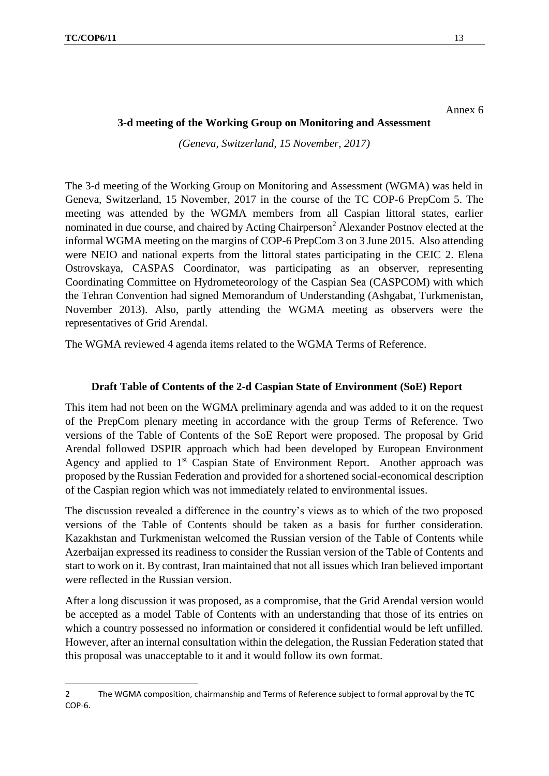**.** 

Annex 6

#### **3-d meeting of the Working Group on Monitoring and Assessment**

*(Geneva, Switzerland, 15 November, 2017)*

The 3-d meeting of the Working Group on Monitoring and Assessment (WGMA) was held in Geneva, Switzerland, 15 November, 2017 in the course of the TC COP-6 PrepCom 5. The meeting was attended by the WGMA members from all Caspian littoral states, earlier nominated in due course, and chaired by Acting Chairperson<sup>2</sup> Alexander Postnov elected at the informal WGMA meeting on the margins of COP-6 PrepCom 3 on 3 June 2015. Also attending were NEIO and national experts from the littoral states participating in the CEIC 2. Elena Ostrovskaya, CASPAS Coordinator, was participating as an observer, representing Coordinating Committee on Hydrometeorology of the Caspian Sea (CASPCOM) with which the Tehran Convention had signed Memorandum of Understanding (Ashgabat, Turkmenistan, November 2013). Also, partly attending the WGMA meeting as observers were the representatives of Grid Arendal.

The WGMA reviewed 4 agenda items related to the WGMA Terms of Reference.

## **Draft Table of Contents of the 2-d Caspian State of Environment (SoE) Report**

This item had not been on the WGMA preliminary agenda and was added to it on the request of the PrepCom plenary meeting in accordance with the group Terms of Reference. Two versions of the Table of Contents of the SoE Report were proposed. The proposal by Grid Arendal followed DSPIR approach which had been developed by European Environment Agency and applied to 1<sup>st</sup> Caspian State of Environment Report. Another approach was proposed by the Russian Federation and provided for a shortened social-economical description of the Caspian region which was not immediately related to environmental issues.

The discussion revealed a difference in the country's views as to which of the two proposed versions of the Table of Contents should be taken as a basis for further consideration. Kazakhstan and Turkmenistan welcomed the Russian version of the Table of Contents while Azerbaijan expressed its readiness to consider the Russian version of the Table of Contents and start to work on it. By contrast, Iran maintained that not all issues which Iran believed important were reflected in the Russian version.

After a long discussion it was proposed, as a compromise, that the Grid Arendal version would be accepted as a model Table of Contents with an understanding that those of its entries on which a country possessed no information or considered it confidential would be left unfilled. However, after an internal consultation within the delegation, the Russian Federation stated that this proposal was unacceptable to it and it would follow its own format.

<sup>2</sup> The WGMA composition, chairmanship and Terms of Reference subject to formal approval by the TC COP-6.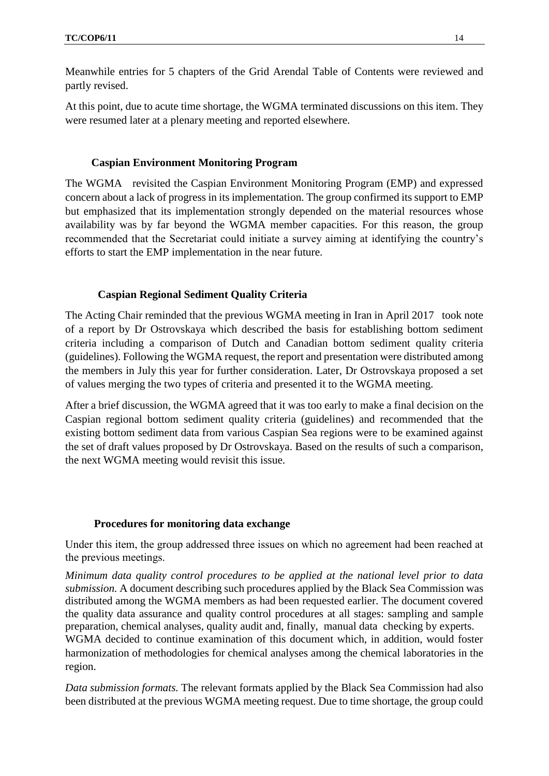Meanwhile entries for 5 chapters of the Grid Arendal Table of Contents were reviewed and partly revised.

At this point, due to acute time shortage, the WGMA terminated discussions on this item. They were resumed later at a plenary meeting and reported elsewhere.

## **Caspian Environment Monitoring Program**

The WGMA revisited the Caspian Environment Monitoring Program (EMP) and expressed concern about a lack of progress in its implementation. The group confirmed its support to EMP but emphasized that its implementation strongly depended on the material resources whose availability was by far beyond the WGMA member capacities. For this reason, the group recommended that the Secretariat could initiate a survey aiming at identifying the country's efforts to start the EMP implementation in the near future.

#### **Caspian Regional Sediment Quality Criteria**

The Acting Chair reminded that the previous WGMA meeting in Iran in April 2017 took note of a report by Dr Ostrovskaya which described the basis for establishing bottom sediment criteria including a comparison of Dutch and Canadian bottom sediment quality criteria (guidelines). Following the WGMA request, the report and presentation were distributed among the members in July this year for further consideration. Later, Dr Ostrovskaya proposed a set of values merging the two types of criteria and presented it to the WGMA meeting.

After a brief discussion, the WGMA agreed that it was too early to make a final decision on the Caspian regional bottom sediment quality criteria (guidelines) and recommended that the existing bottom sediment data from various Caspian Sea regions were to be examined against the set of draft values proposed by Dr Ostrovskaya. Based on the results of such a comparison, the next WGMA meeting would revisit this issue.

#### **Procedures for monitoring data exchange**

Under this item, the group addressed three issues on which no agreement had been reached at the previous meetings.

*Minimum data quality control procedures to be applied at the national level prior to data submission.* A document describing such procedures applied by the Black Sea Commission was distributed among the WGMA members as had been requested earlier. The document covered the quality data assurance and quality control procedures at all stages: sampling and sample preparation, chemical analyses, quality audit and, finally, manual data checking by experts. WGMA decided to continue examination of this document which, in addition, would foster harmonization of methodologies for chemical analyses among the chemical laboratories in the region.

*Data submission formats.* The relevant formats applied by the Black Sea Commission had also been distributed at the previous WGMA meeting request. Due to time shortage, the group could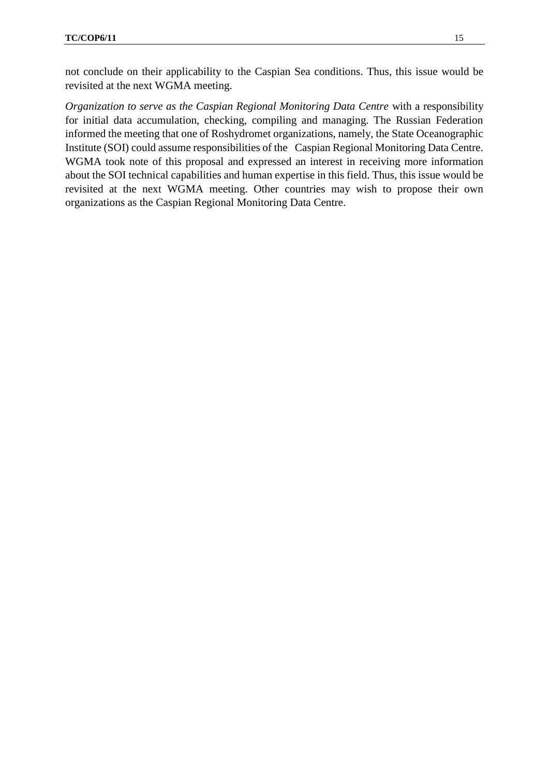not conclude on their applicability to the Caspian Sea conditions. Thus, this issue would be revisited at the next WGMA meeting.

*Organization to serve as the Caspian Regional Monitoring Data Centre* with a responsibility for initial data accumulation, checking, compiling and managing. The Russian Federation informed the meeting that one of Roshydromet organizations, namely, the State Oceanographic Institute (SOI) could assume responsibilities of the Caspian Regional Monitoring Data Centre. WGMA took note of this proposal and expressed an interest in receiving more information about the SOI technical capabilities and human expertise in this field. Thus, this issue would be revisited at the next WGMA meeting. Other countries may wish to propose their own organizations as the Caspian Regional Monitoring Data Centre.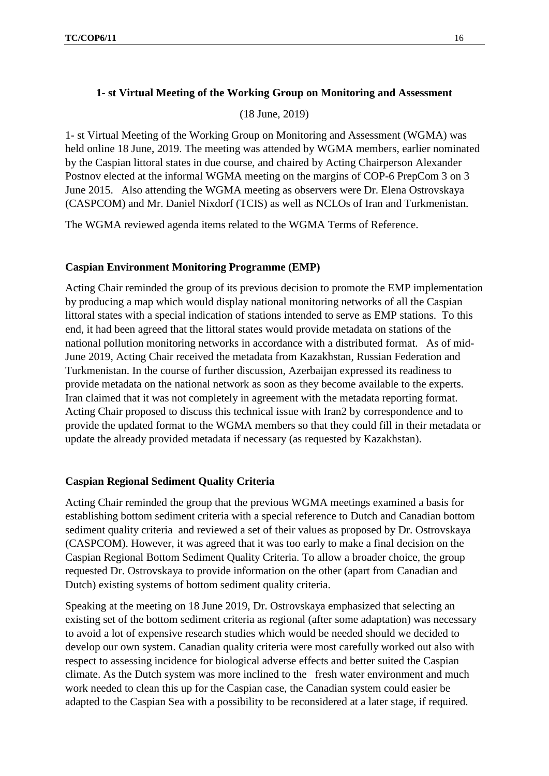# **1- st Virtual Meeting of the Working Group on Monitoring and Assessment**

(18 June, 2019)

1- st Virtual Meeting of the Working Group on Monitoring and Assessment (WGMA) was held online 18 June, 2019. The meeting was attended by WGMA members, earlier nominated by the Caspian littoral states in due course, and chaired by Acting Chairperson Alexander Postnov elected at the informal WGMA meeting on the margins of COP-6 PrepCom 3 on 3 June 2015. Also attending the WGMA meeting as observers were Dr. Elena Ostrovskaya (CASPCOM) and Mr. Daniel Nixdorf (TCIS) as well as NCLOs of Iran and Turkmenistan.

The WGMA reviewed agenda items related to the WGMA Terms of Reference.

# **Caspian Environment Monitoring Programme (EMP)**

Acting Chair reminded the group of its previous decision to promote the EMP implementation by producing a map which would display national monitoring networks of all the Caspian littoral states with a special indication of stations intended to serve as EMP stations. To this end, it had been agreed that the littoral states would provide metadata on stations of the national pollution monitoring networks in accordance with a distributed format. As of mid-June 2019, Acting Chair received the metadata from Kazakhstan, Russian Federation and Turkmenistan. In the course of further discussion, Azerbaijan expressed its readiness to provide metadata on the national network as soon as they become available to the experts. Iran claimed that it was not completely in agreement with the metadata reporting format. Acting Chair proposed to discuss this technical issue with Iran2 by correspondence and to provide the updated format to the WGMA members so that they could fill in their metadata or update the already provided metadata if necessary (as requested by Kazakhstan).

## **Caspian Regional Sediment Quality Criteria**

Acting Chair reminded the group that the previous WGMA meetings examined a basis for establishing bottom sediment criteria with a special reference to Dutch and Canadian bottom sediment quality criteria and reviewed a set of their values as proposed by Dr. Ostrovskaya (CASPCOM). However, it was agreed that it was too early to make a final decision on the Caspian Regional Bottom Sediment Quality Criteria. To allow a broader choice, the group requested Dr. Ostrovskaya to provide information on the other (apart from Canadian and Dutch) existing systems of bottom sediment quality criteria.

Speaking at the meeting on 18 June 2019, Dr. Ostrovskaya emphasized that selecting an existing set of the bottom sediment criteria as regional (after some adaptation) was necessary to avoid a lot of expensive research studies which would be needed should we decided to develop our own system. Canadian quality criteria were most carefully worked out also with respect to assessing incidence for biological adverse effects and better suited the Caspian climate. As the Dutch system was more inclined to the fresh water environment and much work needed to clean this up for the Caspian case, the Canadian system could easier be adapted to the Caspian Sea with a possibility to be reconsidered at a later stage, if required.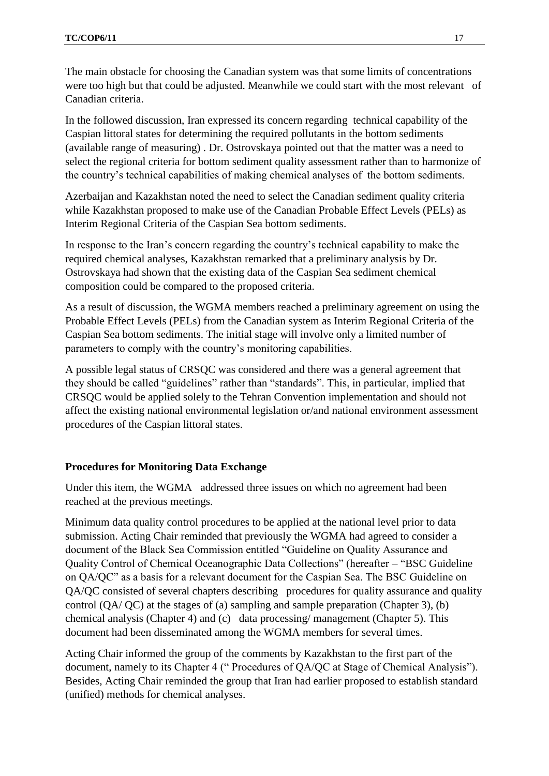The main obstacle for choosing the Canadian system was that some limits of concentrations were too high but that could be adjusted. Meanwhile we could start with the most relevant of Canadian criteria.

In the followed discussion, Iran expressed its concern regarding technical capability of the Caspian littoral states for determining the required pollutants in the bottom sediments (available range of measuring) . Dr. Ostrovskaya pointed out that the matter was a need to select the regional criteria for bottom sediment quality assessment rather than to harmonize of the country's technical capabilities of making chemical analyses of the bottom sediments.

Azerbaijan and Kazakhstan noted the need to select the Canadian sediment quality criteria while Kazakhstan proposed to make use of the Canadian Probable Effect Levels (PELs) as Interim Regional Criteria of the Caspian Sea bottom sediments.

In response to the Iran's concern regarding the country's technical capability to make the required chemical analyses, Kazakhstan remarked that a preliminary analysis by Dr. Ostrovskaya had shown that the existing data of the Caspian Sea sediment chemical composition could be compared to the proposed criteria.

As a result of discussion, the WGMA members reached a preliminary agreement on using the Probable Effect Levels (PELs) from the Canadian system as Interim Regional Criteria of the Caspian Sea bottom sediments. The initial stage will involve only a limited number of parameters to comply with the country's monitoring capabilities.

A possible legal status of CRSQC was considered and there was a general agreement that they should be called "guidelines" rather than "standards". This, in particular, implied that CRSQC would be applied solely to the Tehran Convention implementation and should not affect the existing national environmental legislation or/and national environment assessment procedures of the Caspian littoral states.

## **Procedures for Monitoring Data Exchange**

Under this item, the WGMA addressed three issues on which no agreement had been reached at the previous meetings.

Minimum data quality control procedures to be applied at the national level prior to data submission. Acting Chair reminded that previously the WGMA had agreed to consider a document of the Black Sea Commission entitled "Guideline on Quality Assurance and Quality Control of Chemical Oceanographic Data Collections" (hereafter – "BSC Guideline on QA/QC" as a basis for a relevant document for the Caspian Sea. The BSC Guideline on QA/QC consisted of several chapters describing procedures for quality assurance and quality control (QA/ QC) at the stages of (a) sampling and sample preparation (Chapter 3), (b) chemical analysis (Chapter 4) and (c) data processing/ management (Chapter 5). This document had been disseminated among the WGMA members for several times.

Acting Chair informed the group of the comments by Kazakhstan to the first part of the document, namely to its Chapter 4 (" Procedures of QA/QC at Stage of Chemical Analysis"). Besides, Acting Chair reminded the group that Iran had earlier proposed to establish standard (unified) methods for chemical analyses.